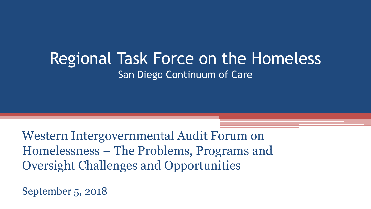### Regional Task Force on the Homeless San Diego Continuum of Care

Western Intergovernmental Audit Forum on Homelessness – The Problems, Programs and Oversight Challenges and Opportunities

September 5, 2018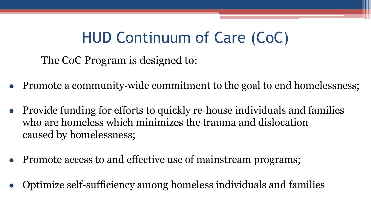## HUD Continuum of Care (CoC)

The CoC Program is designed to:

- Promote a community-wide commitment to the goal to end homelessness;
- Provide funding for efforts to quickly re‐house individuals and families who are homeless which minimizes the trauma and dislocation caused by homelessness;
- Promote access to and effective use of mainstream programs;
- Optimize self-sufficiency among homeless individuals and families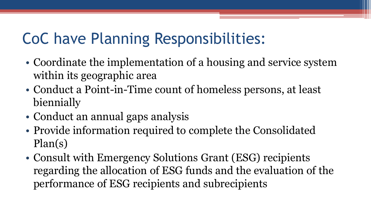# CoC have Planning Responsibilities:

- Coordinate the implementation of a housing and service system within its geographic area
- Conduct a Point-in-Time count of homeless persons, at least biennially
- Conduct an annual gaps analysis
- Provide information required to complete the Consolidated Plan(s)
- Consult with Emergency Solutions Grant (ESG) recipients regarding the allocation of ESG funds and the evaluation of the performance of ESG recipients and subrecipients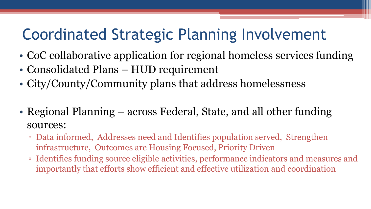## Coordinated Strategic Planning Involvement

- CoC collaborative application for regional homeless services funding
- Consolidated Plans HUD requirement
- City/County/Community plans that address homelessness
- Regional Planning across Federal, State, and all other funding sources:
	- Data informed, Addresses need and Identifies population served, Strengthen infrastructure, Outcomes are Housing Focused, Priority Driven
	- Identifies funding source eligible activities, performance indicators and measures and importantly that efforts show efficient and effective utilization and coordination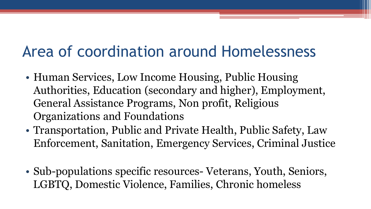## Area of coordination around Homelessness

- Human Services, Low Income Housing, Public Housing Authorities, Education (secondary and higher), Employment, General Assistance Programs, Non profit, Religious Organizations and Foundations
- Transportation, Public and Private Health, Public Safety, Law Enforcement, Sanitation, Emergency Services, Criminal Justice
- Sub-populations specific resources- Veterans, Youth, Seniors, LGBTQ, Domestic Violence, Families, Chronic homeless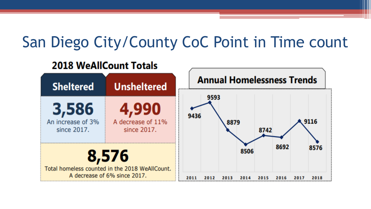## San Diego City/County CoC Point in Time count

#### **2018 WeAllCount Totals**

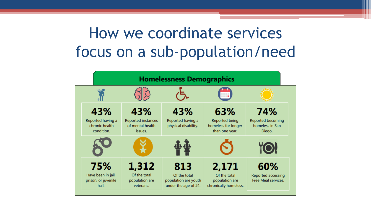# How we coordinate services focus on a sub-population/need

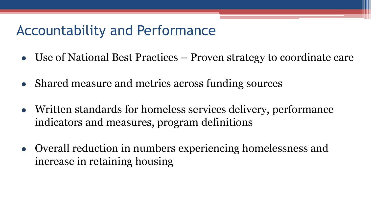### Accountability and Performance

- Use of National Best Practices Proven strategy to coordinate care
- Shared measure and metrics across funding sources
- Written standards for homeless services delivery, performance indicators and measures, program definitions
- Overall reduction in numbers experiencing homelessness and increase in retaining housing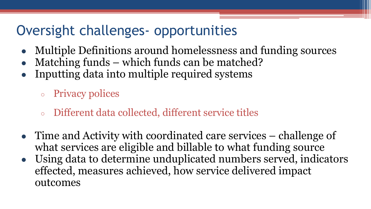### Oversight challenges- opportunities

- Multiple Definitions around homelessness and funding sources
- Matching funds which funds can be matched?
- Inputting data into multiple required systems
	- Privacy polices
	- Different data collected, different service titles
- Time and Activity with coordinated care services challenge of what services are eligible and billable to what funding source
- Using data to determine unduplicated numbers served, indicators effected, measures achieved, how service delivered impact outcomes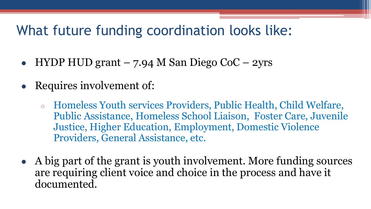### What future funding coordination looks like:

- HYDP HUD grant 7.94 M San Diego CoC 2yrs
- Requires involvement of:
	- Homeless Youth services Providers, Public Health, Child Welfare, Public Assistance, Homeless School Liaison, Foster Care, Juvenile Justice, Higher Education, Employment, Domestic Violence Providers, General Assistance, etc.
- A big part of the grant is youth involvement. More funding sources are requiring client voice and choice in the process and have it documented.